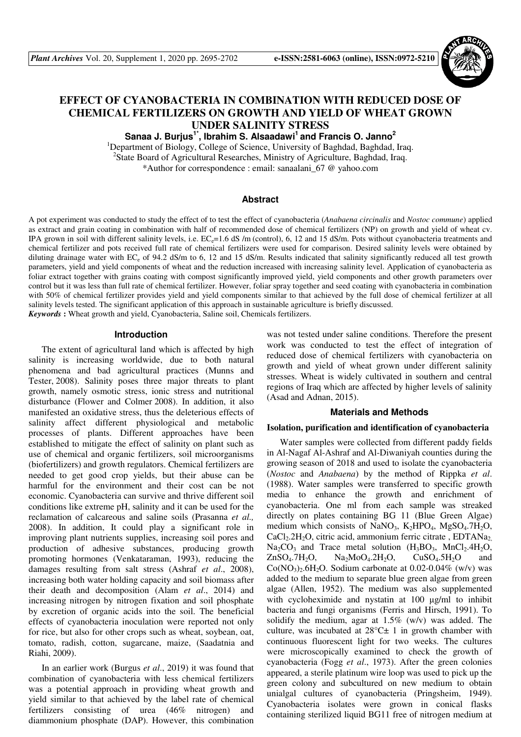

# **EFFECT OF CYANOBACTERIA IN COMBINATION WITH REDUCED DOSE OF CHEMICAL FERTILIZERS ON GROWTH AND YIELD OF WHEAT GROWN UNDER SALINITY STRESS**

**Sanaa J. Burjus1\*, Ibrahim S. Alsaadawi<sup>1</sup>and Francis O. Janno<sup>2</sup>**

<sup>1</sup>Department of Biology, College of Science, University of Baghdad, Baghdad, Iraq. <sup>2</sup>State Board of Agricultural Researches, Ministry of Agriculture, Baghdad, Iraq. \*Author for correspondence : email: sanaalani\_67 @ yahoo.com

#### **Abstract**

A pot experiment was conducted to study the effect of to test the effect of cyanobacteria (*Anabaena circinalis* and *Nostoc commune*) applied as extract and grain coating in combination with half of recommended dose of chemical fertilizers (NP) on growth and yield of wheat cv. IPA grown in soil with different salinity levels, i.e.  $EC_e$ =1.6 dS /m (control), 6, 12 and 15 dS/m. Pots without cyanobacteria treatments and chemical fertilizer and pots received full rate of chemical fertilizers were used for comparison. Desired salinity levels were obtained by diluting drainage water with EC<sub>e</sub> of 94.2 dS/m to 6, 12 and 15 dS/m. Results indicated that salinity significantly reduced all test growth parameters, yield and yield components of wheat and the reduction increased with increasing salinity level. Application of cyanobacteria as foliar extract together with grains coating with compost significantly improved yield, yield components and other growth parameters over control but it was less than full rate of chemical fertilizer. However, foliar spray together and seed coating with cyanobacteria in combination with 50% of chemical fertilizer provides yield and yield components similar to that achieved by the full dose of chemical fertilizer at all salinity levels tested. The significant application of this approach in sustainable agriculture is briefly discussed. *Keywords* **:** Wheat growth and yield, Cyanobacteria, Saline soil, Chemicals fertilizers.

#### **Introduction**

The extent of agricultural land which is affected by high salinity is increasing worldwide, due to both natural phenomena and bad agricultural practices (Munns and Tester, 2008). Salinity poses three major threats to plant growth, namely osmotic stress, ionic stress and nutritional disturbance (Flower and Colmer 2008). In addition, it also manifested an oxidative stress, thus the deleterious effects of salinity affect different physiological and metabolic processes of plants. Different approaches have been established to mitigate the effect of salinity on plant such as use of chemical and organic fertilizers, soil microorganisms (biofertilizers) and growth regulators. Chemical fertilizers are needed to get good crop yields, but their abuse can be harmful for the environment and their cost can be not economic. Cyanobacteria can survive and thrive different soil conditions like extreme pH, salinity and it can be used for the reclamation of calcareous and saline soils (Prasanna *et al.,* 2008). In addition, It could play a significant role in improving plant nutrients supplies, increasing soil pores and production of adhesive substances, producing growth promoting hormones (Venkataraman, 1993), reducing the damages resulting from salt stress (Ashraf *et al*., 2008), increasing both water holding capacity and soil biomass after their death and decomposition (Alam *et al*., 2014) and increasing nitrogen by nitrogen fixation and soil phosphate by excretion of organic acids into the soil. The beneficial effects of cyanobacteria inoculation were reported not only for rice, but also for other crops such as wheat, soybean, oat, tomato, radish, cotton, sugarcane, maize, (Saadatnia and Riahi, 2009).

In an earlier work (Burgus *et al*., 2019) it was found that combination of cyanobacteria with less chemical fertilizers was a potential approach in providing wheat growth and yield similar to that achieved by the label rate of chemical fertilizers consisting of urea (46% nitrogen) and diammonium phosphate (DAP). However, this combination

was not tested under saline conditions. Therefore the present work was conducted to test the effect of integration of reduced dose of chemical fertilizers with cyanobacteria on growth and yield of wheat grown under different salinity stresses. Wheat is widely cultivated in southern and central regions of Iraq which are affected by higher levels of salinity (Asad and Adnan, 2015).

#### **Materials and Methods**

#### **Isolation, purification and identification of cyanobacteria**

Water samples were collected from different paddy fields in Al-Nagaf Al-Ashraf and Al-Diwaniyah counties during the growing season of 2018 and used to isolate the cyanobacteria (*Nostoc* and *Anabaena*) by the method of Rippka *et al*. (1988). Water samples were transferred to specific growth media to enhance the growth and enrichment of cyanobacteria. One ml from each sample was streaked directly on plates containing BG 11 (Blue Green Algae) medium which consists of NaNO<sub>3</sub>, K<sub>2</sub>HPO<sub>4</sub>, MgSO<sub>4</sub>.7H<sub>2</sub>O,  $CaCl<sub>2</sub>2H<sub>2</sub>O$ , citric acid, ammonium ferric citrate,  $EDTANa<sub>2</sub>$  $Na<sub>2</sub>CO<sub>3</sub>$  and Trace metal solution  $(H<sub>3</sub>BO<sub>3</sub>, MnCl<sub>2</sub>.4H<sub>2</sub>O,$  $ZnSO_4.7H_2O$ ,  $Na_2MoO_4.2H_2O$ ,  $CuSO_4.5H_2O$  and  $Co(NO<sub>3</sub>)<sub>2</sub>·6H<sub>2</sub>O$ . Sodium carbonate at 0.02-0.04% (w/v) was added to the medium to separate blue green algae from green algae (Allen, 1952). The medium was also supplemented with cycloheximide and nystatin at 100 µg/ml to inhibit bacteria and fungi organisms (Ferris and Hirsch, 1991). To solidify the medium, agar at  $1.5\%$  (w/v) was added. The culture, was incubated at  $28^{\circ}$ C $\pm$  1 in growth chamber with continuous fluorescent light for two weeks. The cultures were microscopically examined to check the growth of cyanobacteria (Fogg *et al*., 1973). After the green colonies appeared, a sterile platinum wire loop was used to pick up the green colony and subcultured on new medium to obtain unialgal cultures of cyanobacteria (Pringsheim, 1949). Cyanobacteria isolates were grown in conical flasks containing sterilized liquid BG11 free of nitrogen medium at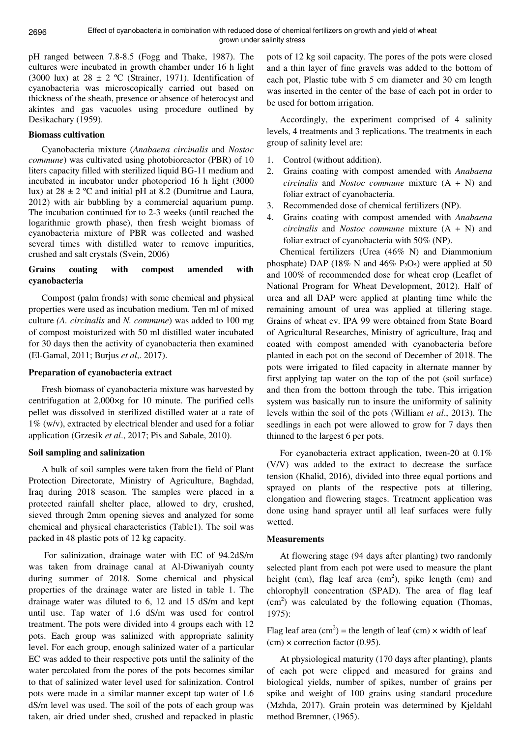pH ranged between 7.8-8.5 (Fogg and Thake, 1987). The cultures were incubated in growth chamber under 16 h light (3000 lux) at  $28 \pm 2$  °C (Strainer, 1971). Identification of cyanobacteria was microscopically carried out based on thickness of the sheath, presence or absence of heterocyst and akintes and gas vacuoles using procedure outlined by Desikachary (1959).

#### **Biomass cultivation**

Cyanobacteria mixture (*Anabaena circinalis* and *Nostoc commune*) was cultivated using photobioreactor (PBR) of 10 liters capacity filled with sterilized liquid BG-11 medium and incubated in incubator under photoperiod 16 h light (3000 lux) at  $28 \pm 2$  °C and initial pH at 8.2 (Dumitrue and Laura, 2012) with air bubbling by a commercial aquarium pump. The incubation continued for to 2-3 weeks (until reached the logarithmic growth phase), then fresh weight biomass of cyanobacteria mixture of PBR was collected and washed several times with distilled water to remove impurities, crushed and salt crystals (Svein, 2006)

# **Grains coating with compost amended with cyanobacteria**

Compost (palm fronds) with some chemical and physical properties were used as incubation medium. Ten ml of mixed culture *(A. circinalis* and *N. commune*) was added to 100 mg of compost moisturized with 50 ml distilled water incubated for 30 days then the activity of cyanobacteria then examined (El-Gamal, 2011; Burjus *et al*,. 2017).

# **Preparation of cyanobacteria extract**

Fresh biomass of cyanobacteria mixture was harvested by centrifugation at 2,000×g for 10 minute. The purified cells pellet was dissolved in sterilized distilled water at a rate of 1% (w/v), extracted by electrical blender and used for a foliar application (Grzesik *et al*., 2017; Pis and Sabale, 2010).

# **Soil sampling and salinization**

A bulk of soil samples were taken from the field of Plant Protection Directorate, Ministry of Agriculture, Baghdad, Iraq during 2018 season. The samples were placed in a protected rainfall shelter place, allowed to dry, crushed, sieved through 2mm opening sieves and analyzed for some chemical and physical characteristics (Table1). The soil was packed in 48 plastic pots of 12 kg capacity.

 For salinization, drainage water with EC of 94.2dS/m was taken from drainage canal at Al-Diwaniyah county during summer of 2018. Some chemical and physical properties of the drainage water are listed in table 1. The drainage water was diluted to 6, 12 and 15 dS/m and kept until use. Tap water of 1.6 dS/m was used for control treatment. The pots were divided into 4 groups each with 12 pots. Each group was salinized with appropriate salinity level. For each group, enough salinized water of a particular EC was added to their respective pots until the salinity of the water percolated from the pores of the pots becomes similar to that of salinized water level used for salinization. Control pots were made in a similar manner except tap water of 1.6 dS/m level was used. The soil of the pots of each group was taken, air dried under shed, crushed and repacked in plastic

pots of 12 kg soil capacity. The pores of the pots were closed and a thin layer of fine gravels was added to the bottom of each pot, Plastic tube with 5 cm diameter and 30 cm length was inserted in the center of the base of each pot in order to be used for bottom irrigation.

Accordingly, the experiment comprised of 4 salinity levels, 4 treatments and 3 replications. The treatments in each group of salinity level are:

- 1. Control (without addition).
- 2. Grains coating with compost amended with *Anabaena circinalis* and *Nostoc commune* mixture (A + N) and foliar extract of cyanobacteria.
- 3. Recommended dose of chemical fertilizers (NP).
- 4. Grains coating with compost amended with *Anabaena circinalis* and *Nostoc commune* mixture (A + N) and foliar extract of cyanobacteria with 50% (NP).

Chemical fertilizers (Urea (46% N) and Diammonium phosphate) DAP (18% N and 46%  $P_2O_5$ ) were applied at 50 and 100% of recommended dose for wheat crop (Leaflet of National Program for Wheat Development, 2012). Half of urea and all DAP were applied at planting time while the remaining amount of urea was applied at tillering stage. Grains of wheat cv. IPA 99 were obtained from State Board of Agricultural Researches, Ministry of agriculture, Iraq and coated with compost amended with cyanobacteria before planted in each pot on the second of December of 2018. The pots were irrigated to filed capacity in alternate manner by first applying tap water on the top of the pot (soil surface) and then from the bottom through the tube. This irrigation system was basically run to insure the uniformity of salinity levels within the soil of the pots (William *et al*., 2013). The seedlings in each pot were allowed to grow for 7 days then thinned to the largest 6 per pots.

For cyanobacteria extract application, tween-20 at 0.1% (V/V) was added to the extract to decrease the surface tension (Khalid, 2016), divided into three equal portions and sprayed on plants of the respective pots at tillering, elongation and flowering stages. Treatment application was done using hand sprayer until all leaf surfaces were fully wetted.

# **Measurements**

At flowering stage (94 days after planting) two randomly selected plant from each pot were used to measure the plant height (cm), flag leaf area  $(cm^2)$ , spike length (cm) and chlorophyll concentration (SPAD). The area of flag leaf  $(cm<sup>2</sup>)$  was calculated by the following equation (Thomas, 1975):

Flag leaf area  $(cm^2)$  = the length of leaf (cm)  $\times$  width of leaf  $(cm) \times correction factor (0.95).$ 

At physiological maturity (170 days after planting), plants of each pot were clipped and measured for grains and biological yields, number of spikes, number of grains per spike and weight of 100 grains using standard procedure (Mzhda, 2017). Grain protein was determined by Kjeldahl method Bremner, (1965).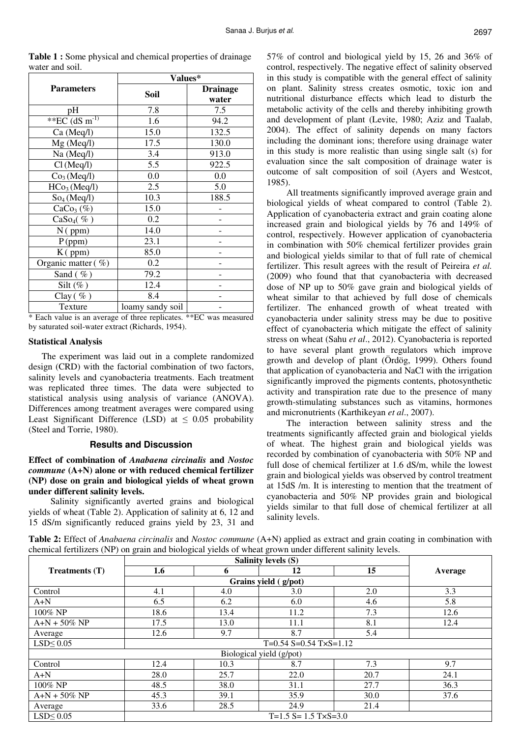|                                         | Values*          |                          |  |  |
|-----------------------------------------|------------------|--------------------------|--|--|
| <b>Parameters</b>                       | Soil             | <b>Drainage</b><br>water |  |  |
| pH                                      | 7.8              | 7.5                      |  |  |
| ** $\overline{EC}$ (dS m <sup>-1)</sup> | 1.6              | 94.2                     |  |  |
| Ca (Meq/l)                              | 15.0             | 132.5                    |  |  |
| Mg (Meq/l)                              | 17.5             | 130.0                    |  |  |
| Na (Meq/l)                              | 3.4              | 913.0                    |  |  |
| Cl(Meq/l)                               | 5.5              | 922.5                    |  |  |
| Co <sub>3</sub> (Meq/l)                 | 0.0              | 0.0                      |  |  |
| HCo <sub>3</sub> (Meq/l)                | 2.5              | 5.0                      |  |  |
| So <sub>4</sub> (Meq/l)                 | 10.3             | 188.5                    |  |  |
| $CaCo3(\%)$                             | 15.0             |                          |  |  |
| $CaSo4(\%)$                             | 0.2              |                          |  |  |
| $N($ ppm $)$                            | 14.0             |                          |  |  |
| P(ppm)                                  | 23.1             |                          |  |  |
| $K$ (ppm)                               | 85.0             |                          |  |  |
| Organic matter $(\% )$                  | 0.2              |                          |  |  |
| Sand $(\% )$                            | 79.2             |                          |  |  |
| Silt $(\%)$                             | 12.4             |                          |  |  |
| Clay $(\% )$                            | 8.4              |                          |  |  |
| Texture                                 | loamy sandy soil |                          |  |  |

**Table 1 :** Some physical and chemical properties of drainage water and soil.

\* Each value is an average of three replicates. \*\*EC was measured by saturated soil-water extract (Richards, 1954).

#### **Statistical Analysis**

The experiment was laid out in a complete randomized design (CRD) with the factorial combination of two factors, salinity levels and cyanobacteria treatments. Each treatment was replicated three times. The data were subjected to statistical analysis using analysis of variance (ANOVA). Differences among treatment averages were compared using Least Significant Difference (LSD) at  $\leq$  0.05 probability (Steel and Torrie, 1980).

## **Results and Discussion**

**Effect of combination of** *Anabaena circinalis* **and** *Nostoc commune* **(A+N) alone or with reduced chemical fertilizer (NP) dose on grain and biological yields of wheat grown under different salinity levels.** 

 Salinity significantly averted grains and biological yields of wheat (Table 2). Application of salinity at 6, 12 and 15 dS/m significantly reduced grains yield by 23, 31 and 57% of control and biological yield by 15, 26 and 36% of control, respectively. The negative effect of salinity observed in this study is compatible with the general effect of salinity on plant. Salinity stress creates osmotic, toxic ion and nutritional disturbance effects which lead to disturb the metabolic activity of the cells and thereby inhibiting growth and development of plant (Levite, 1980; Aziz and Taalab, 2004). The effect of salinity depends on many factors including the dominant ions; therefore using drainage water in this study is more realistic than using single salt (s) for evaluation since the salt composition of drainage water is outcome of salt composition of soil (Ayers and Westcot, 1985).

All treatments significantly improved average grain and biological yields of wheat compared to control (Table 2). Application of cyanobacteria extract and grain coating alone increased grain and biological yields by 76 and 149% of control, respectively. However application of cyanobacteria in combination with 50% chemical fertilizer provides grain and biological yields similar to that of full rate of chemical fertilizer. This result agrees with the result of Peireira *et al.* (2009) who found that that cyanobacteria with decreased dose of NP up to 50% gave grain and biological yields of wheat similar to that achieved by full dose of chemicals fertilizer. The enhanced growth of wheat treated with cyanobacteria under salinity stress may be due to positive effect of cyanobacteria which mitigate the effect of salinity stress on wheat (Sahu *et al*., 2012). Cyanobacteria is reported to have several plant growth regulators which improve growth and develop of plant (Ördög, 1999). Others found that application of cyanobacteria and NaCl with the irrigation significantly improved the pigments contents, photosynthetic activity and transpiration rate due to the presence of many growth-stimulating substances such as vitamins, hormones and micronutrients (Karthikeyan *et al*., 2007).

The interaction between salinity stress and the treatments significantly affected grain and biological yields of wheat. The highest grain and biological yields was recorded by combination of cyanobacteria with 50% NP and full dose of chemical fertilizer at 1.6 dS/m, while the lowest grain and biological yields was observed by control treatment at 15dS /m. It is interesting to mention that the treatment of cyanobacteria and 50% NP provides grain and biological yields similar to that full dose of chemical fertilizer at all salinity levels.

**Table 2:** Effect of *Anabaena circinalis* and *Nostoc commune* (A+N) applied as extract and grain coating in combination with chemical fertilizers (NP) on grain and biological yields of wheat grown under different salinity levels.

| <b>Treatments (T)</b> | 1.6                               | 6    | 12                       | 15   | Average |
|-----------------------|-----------------------------------|------|--------------------------|------|---------|
|                       |                                   |      |                          |      |         |
| Control               | 4.1                               | 4.0  | 3.0                      | 2.0  | 3.3     |
| $A+N$                 | 6.5                               | 6.2  | 6.0                      | 4.6  | 5.8     |
| $100\%$ NP            | 18.6                              | 13.4 | 11.2                     | 7.3  | 12.6    |
| $A+N + 50\% NP$       | 17.5                              | 13.0 | 11.1                     | 8.1  | 12.4    |
| Average               | 12.6                              | 9.7  | 8.7                      | 5.4  |         |
| $LSD \leq 0.05$       | $T=0.54$ S=0.54 T $\times$ S=1.12 |      |                          |      |         |
|                       |                                   |      | Biological yield (g/pot) |      |         |
| Control               | 12.4                              | 10.3 | 8.7                      | 7.3  | 9.7     |
| $A+N$                 | 28.0                              | 25.7 | 22.0                     | 20.7 | 24.1    |
| $100\%$ NP            | 48.5                              | 38.0 | 31.1                     | 27.7 | 36.3    |
| $A+N + 50\% NP$       | 45.3                              | 39.1 | 35.9                     | 30.0 | 37.6    |
| Average               | 33.6                              | 28.5 | 24.9                     | 21.4 |         |
| $LSD \leq 0.05$       | $T=1.5$ S= 1.5 T $\times$ S=3.0   |      |                          |      |         |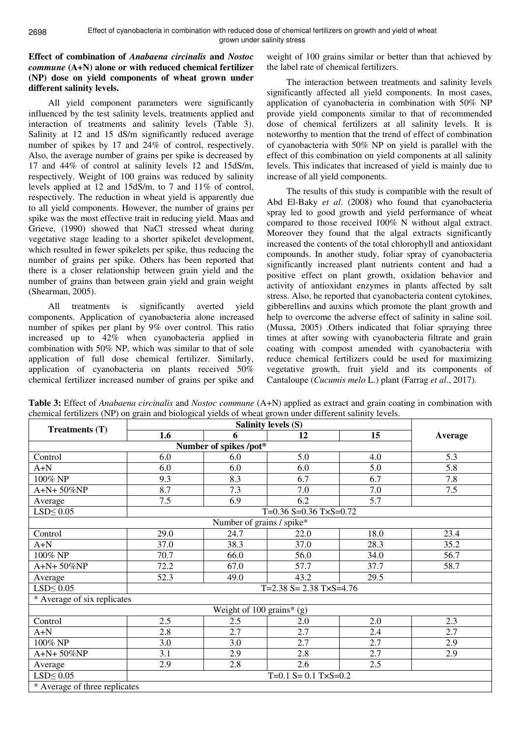## **Effect of combination of** *Anabaena circinalis* **and** *Nostoc commune* **(A+N) alone or with reduced chemical fertilizer (NP) dose on yield components of wheat grown under different salinity levels.**

All yield component parameters were significantly influenced by the test salinity levels, treatments applied and interaction of treatments and salinity levels (Table 3). Salinity at 12 and 15 dS/m significantly reduced average number of spikes by 17 and 24% of control, respectively. Also, the average number of grains per spike is decreased by 17 and 44% of control at salinity levels 12 and 15dS/m, respectively. Weight of 100 grains was reduced by salinity levels applied at 12 and 15dS/m, to 7 and 11% of control, respectively. The reduction in wheat yield is apparently due to all yield components. However, the number of grains per spike was the most effective trait in reducing yield. Maas and Grieve, (1990) showed that NaCl stressed wheat during vegetative stage leading to a shorter spikelet development, which resulted in fewer spikelets per spike, thus reducing the number of grains per spike. Others has been reported that there is a closer relationship between grain yield and the number of grains than between grain yield and grain weight (Shearman, 2005).

All treatments is significantly averted yield components. Application of cyanobacteria alone increased number of spikes per plant by 9% over control. This ratio increased up to 42% when cyanobacteria applied in combination with 50% NP, which was similar to that of sole application of full dose chemical fertilizer. Similarly, application of cyanobacteria on plants received 50% chemical fertilizer increased number of grains per spike and

weight of 100 grains similar or better than that achieved by the label rate of chemical fertilizers.

The interaction between treatments and salinity levels significantly affected all yield components. In most cases, application of cyanobacteria in combination with 50% NP provide yield components similar to that of recommended dose of chemical fertilizers at all salinity levels. It is noteworthy to mention that the trend of effect of combination of cyanobacteria with 50% NP on yield is parallel with the effect of this combination on yield components at all salinity levels. This indicates that increased of yield is mainly due to increase of all yield components.

The results of this study is compatible with the result of Abd El-Baky *et al*. (2008) who found that cyanobacteria spray led to good growth and yield performance of wheat compared to those received 100% N without algal extract. Moreover they found that the algal extracts significantly increased the contents of the total chlorophyll and antioxidant compounds. In another study, foliar spray of cyanobacteria significantly increased plant nutrients content and had a positive effect on plant growth, oxidation behavior and activity of antioxidant enzymes in plants affected by salt stress. Also, he reported that cyanobacteria content cytokines, gibberellins and auxins which promote the plant growth and help to overcome the adverse effect of salinity in saline soil. (Mussa, 2005) .Others indicated that foliar spraying three times at after sowing with cyanobacteria filtrate and grain coating with compost amended with cyanobacteria with reduce chemical fertilizers could be used for maximizing vegetative growth, fruit yield and its components of Cantaloupe (*Cucumis melo* L.) plant (Farrag *et al*., 2017).

**Table 3:** Effect of *Anabaena circinalis* and *Nostoc commune* (A+N) applied as extract and grain coating in combination with chemical fertilizers (NP) on grain and biological yields of wheat grown under different salinity levels.

| Treatments $(T)$              | 1.6                                | 6                             | 12                       | 15   | Average |  |
|-------------------------------|------------------------------------|-------------------------------|--------------------------|------|---------|--|
|                               |                                    |                               |                          |      |         |  |
| Control                       | 6.0                                | Number of spikes /pot*<br>6.0 | 5.0                      | 4.0  | 5.3     |  |
| $A+N$                         | 6.0                                | 6.0                           | 6.0                      | 5.0  | 5.8     |  |
| 100% NP                       | 9.3                                | 8.3                           | 6.7                      | 6.7  | 7.8     |  |
| $A+N+50\%NP$                  | 8.7                                | 7.3                           | 7.0                      | 7.0  | 7.5     |  |
| Average                       | 7.5                                | 6.9                           | 6.2                      | 5.7  |         |  |
| $LSD \leq 0.05$               |                                    |                               | $T=0.36$ S=0.36 T×S=0.72 |      |         |  |
|                               |                                    | Number of grains / spike*     |                          |      |         |  |
| Control                       | 29.0                               | 24.7                          | 22.0                     | 18.0 | 23.4    |  |
| $A+N$                         | 37.0                               | 38.3                          | 37.0                     | 28.3 | 35.2    |  |
| 100% NP                       | 70.7                               | 66.0                          | 56.0                     | 34.0 | 56.7    |  |
| A+N+50%NP                     | 72.2                               | 67.0                          | 57.7                     | 37.7 | 58.7    |  |
| Average                       | 52.3                               | 49.0                          | 43.2                     | 29.5 |         |  |
| $LSD \leq 0.05$               | $T=2.38$ S= 2.38 T $\times$ S=4.76 |                               |                          |      |         |  |
| * Average of six replicates   |                                    |                               |                          |      |         |  |
| Weight of $100$ grains* (g)   |                                    |                               |                          |      |         |  |
| Control                       | 2.5                                | 2.5                           | 2.0                      | 2.0  | 2.3     |  |
| $A+N$                         | 2.8                                | 2.7                           | 2.7                      | 2.4  | 2.7     |  |
| $100\%$ NP                    | 3.0                                | 3.0                           | 2.7                      | 2.7  | 2.9     |  |
| A+N+50%NP                     | 3.1                                | 2.9                           | 2.8                      | 2.7  | 2.9     |  |
| Average                       | 2.9                                | 2.8                           | 2.6                      | 2.5  |         |  |
| $LSD \leq 0.05$               | $T=0.1$ S= 0.1 T $\times$ S=0.2    |                               |                          |      |         |  |
| * Average of three replicates |                                    |                               |                          |      |         |  |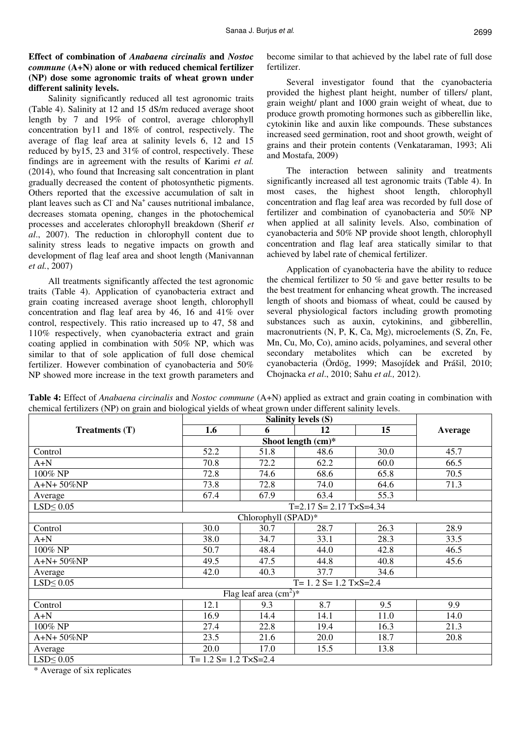# **Effect of combination of** *Anabaena circinalis* **and** *Nostoc commune* **(A+N) alone or with reduced chemical fertilizer (NP) dose some agronomic traits of wheat grown under different salinity levels.**

Salinity significantly reduced all test agronomic traits (Table 4). Salinity at 12 and 15 dS/m reduced average shoot length by 7 and 19% of control, average chlorophyll concentration by11 and 18% of control, respectively. The average of flag leaf area at salinity levels 6, 12 and 15 reduced by by15, 23 and 31% of control, respectively. These findings are in agreement with the results of Karimi *et al.* (2014), who found that Increasing salt concentration in plant gradually decreased the content of photosynthetic pigments. Others reported that the excessive accumulation of salt in plant leaves such as Cl<sup>-</sup> and Na<sup>+</sup> causes nutritional imbalance, decreases stomata opening, changes in the photochemical processes and accelerates chlorophyll breakdown (Sherif *et al*., 2007). The reduction in chlorophyll content due to salinity stress leads to negative impacts on growth and development of flag leaf area and shoot length (Manivannan *et al.*, 2007)

All treatments significantly affected the test agronomic traits (Table 4). Application of cyanobacteria extract and grain coating increased average shoot length, chlorophyll concentration and flag leaf area by 46, 16 and 41% over control, respectively. This ratio increased up to 47, 58 and 110% respectively, when cyanobacteria extract and grain coating applied in combination with 50% NP, which was similar to that of sole application of full dose chemical fertilizer. However combination of cyanobacteria and 50% NP showed more increase in the text growth parameters and become similar to that achieved by the label rate of full dose fertilizer.

Several investigator found that the cyanobacteria provided the highest plant height, number of tillers/ plant, grain weight/ plant and 1000 grain weight of wheat, due to produce growth promoting hormones such as gibberellin like, cytokinin like and auxin like compounds. These substances increased seed germination, root and shoot growth, weight of grains and their protein contents (Venkataraman, 1993; Ali and Mostafa, 2009)

The interaction between salinity and treatments significantly increased all test agronomic traits (Table 4). In most cases, the highest shoot length, chlorophyll concentration and flag leaf area was recorded by full dose of fertilizer and combination of cyanobacteria and 50% NP when applied at all salinity levels. Also, combination of cyanobacteria and 50% NP provide shoot length, chlorophyll concentration and flag leaf area statically similar to that achieved by label rate of chemical fertilizer.

Application of cyanobacteria have the ability to reduce the chemical fertilizer to 50 % and gave better results to be the best treatment for enhancing wheat growth. The increased length of shoots and biomass of wheat, could be caused by several physiological factors including growth promoting substances such as auxin, cytokinins, and gibberellin, macronutrients (N, P, K, Ca, Mg), microelements (S, Zn, Fe, Mn, Cu, Mo, Co), amino acids, polyamines, and several other secondary metabolites which can be excreted by cyanobacteria (Ördög, 1999; Masojídek and Prášil, 2010; Chojnacka *et al*., 2010; Sahu *et al.,* 2012).

**Table 4:** Effect of *Anabaena circinalis* and *Nostoc commune* (A+N) applied as extract and grain coating in combination with chemical fertilizers (NP) on grain and biological yields of wheat grown under different salinity levels.

|                          |                             | <b>Salinity levels (S)</b>  |                                    |      |         |  |  |
|--------------------------|-----------------------------|-----------------------------|------------------------------------|------|---------|--|--|
| Treatments $(T)$         | 1.6                         | 6                           | 12                                 | 15   | Average |  |  |
|                          |                             |                             |                                    |      |         |  |  |
| Control                  | 52.2                        | 51.8                        | 48.6                               | 30.0 | 45.7    |  |  |
| $A+N$                    | 70.8                        | 72.2                        | 62.2                               | 60.0 | 66.5    |  |  |
| 100% NP                  | 72.8                        | 74.6                        | 68.6                               | 65.8 | 70.5    |  |  |
| $A+N+50\%NP$             | 73.8                        | 72.8                        | 74.0                               | 64.6 | 71.3    |  |  |
| Average                  | 67.4                        | 67.9                        | 63.4                               | 55.3 |         |  |  |
| $LSD \leq 0.05$          |                             |                             | $T=2.17$ S= 2.17 T $\times$ S=4.34 |      |         |  |  |
| Chlorophyll (SPAD)*      |                             |                             |                                    |      |         |  |  |
| Control                  | 30.0                        | 30.7                        | 28.7                               | 26.3 | 28.9    |  |  |
| $A+N$                    | 38.0                        | 34.7                        | 33.1                               | 28.3 | 33.5    |  |  |
| 100% NP                  | 50.7                        | 48.4                        | 44.0                               | 42.8 | 46.5    |  |  |
| A+N+ 50%NP               | 49.5                        | 47.5                        | 44.8                               | 40.8 | 45.6    |  |  |
| Average                  | 42.0                        | 40.3                        | 37.7                               | 34.6 |         |  |  |
| $LSD \leq 0.05$          |                             | $T = 1.2 S = 1.2 TxS = 2.4$ |                                    |      |         |  |  |
| Flag leaf area $(cm2)$ * |                             |                             |                                    |      |         |  |  |
| Control                  | 12.1                        | 9.3                         | 8.7                                | 9.5  | 9.9     |  |  |
| $A+N$                    | 16.9                        | 14.4                        | 14.1                               | 11.0 | 14.0    |  |  |
| 100% NP                  | 27.4                        | 22.8                        | 19.4                               | 16.3 | 21.3    |  |  |
| $A+N+50\%NP$             | 23.5                        | 21.6                        | 20.0                               | 18.7 | 20.8    |  |  |
| Average                  | 20.0                        | 17.0                        | 15.5                               | 13.8 |         |  |  |
| $LSD \leq 0.05$          | $T = 1.2 S = 1.2 TxS = 2.4$ |                             |                                    |      |         |  |  |

\* Average of six replicates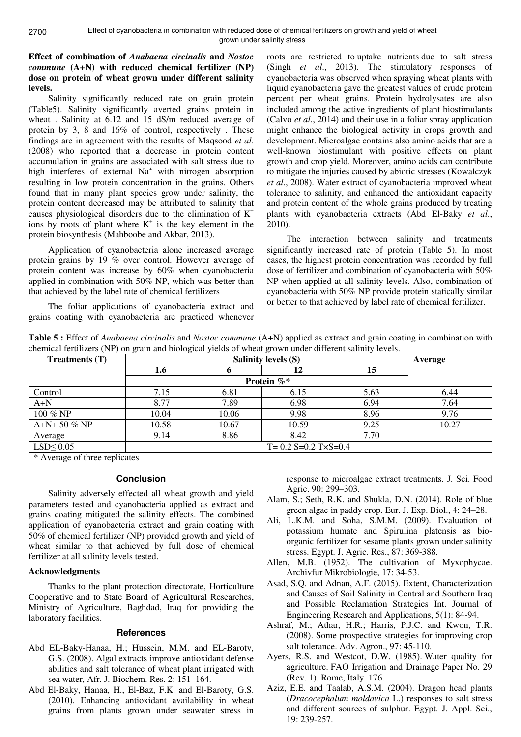## **Effect of combination of** *Anabaena circinalis* **and** *Nostoc commune* **(A+N) with reduced chemical fertilizer (NP) dose on protein of wheat grown under different salinity levels.**

Salinity significantly reduced rate on grain protein (Table5). Salinity significantly averted grains protein in wheat . Salinity at 6.12 and 15 dS/m reduced average of protein by 3, 8 and 16% of control, respectively . These findings are in agreement with the results of Maqsood *et al*. (2008) who reported that a decrease in protein content accumulation in grains are associated with salt stress due to high interferes of external Na<sup>+</sup> with nitrogen absorption resulting in low protein concentration in the grains. Others found that in many plant species grow under salinity, the protein content decreased may be attributed to salinity that causes physiological disorders due to the elimination of  $K^+$ ions by roots of plant where  $K^+$  is the key element in the protein biosynthesis (Mahboobe and Akbar, 2013).

Application of cyanobacteria alone increased average protein grains by 19 % over control. However average of protein content was increase by 60% when cyanobacteria applied in combination with 50% NP, which was better than that achieved by the label rate of chemical fertilizers

The foliar applications of cyanobacteria extract and grains coating with cyanobacteria are practiced whenever roots are restricted to uptake nutrients due to salt stress (Singh *et al*., 2013). The stimulatory responses of cyanobacteria was observed when spraying wheat plants with liquid cyanobacteria gave the greatest values of crude protein percent per wheat grains. Protein hydrolysates are also included among the active ingredients of plant biostimulants (Calvo *et al*., 2014) and their use in a foliar spray application might enhance the biological activity in crops growth and development. Microalgae contains also amino acids that are a well-known biostimulant with positive effects on plant growth and crop yield. Moreover, amino acids can contribute to mitigate the injuries caused by abiotic stresses (Kowalczyk *et al*., 2008). Water extract of cyanobacteria improved wheat tolerance to salinity, and enhanced the antioxidant capacity and protein content of the whole grains produced by treating plants with cyanobacteria extracts (Abd El-Baky *et al*., 2010).

The interaction between salinity and treatments significantly increased rate of protein (Table 5). In most cases, the highest protein concentration was recorded by full dose of fertilizer and combination of cyanobacteria with 50% NP when applied at all salinity levels. Also, combination of cyanobacteria with 50% NP provide protein statically similar or better to that achieved by label rate of chemical fertilizer.

**Table 5 :** Effect of *Anabaena circinalis* and *Nostoc commune* (A+N) applied as extract and grain coating in combination with chemical fertilizers (NP) on grain and biological yields of wheat grown under different salinity levels.

| Treatments $(T)$ | <b>Salinity levels (S)</b>       |                         |       |      | Average |  |  |
|------------------|----------------------------------|-------------------------|-------|------|---------|--|--|
|                  | 1.6                              |                         |       | 15   |         |  |  |
|                  |                                  | Protein $\mathscr{C}^*$ |       |      |         |  |  |
| Control          | 7.15                             | 6.81                    | 6.15  | 5.63 | 6.44    |  |  |
| $A+N$            | 8.77                             | 7.89                    | 6.98  | 6.94 | 7.64    |  |  |
| 100 % NP         | 10.04                            | 10.06                   | 9.98  | 8.96 | 9.76    |  |  |
| $A+N+50\% NP$    | 10.58                            | 10.67                   | 10.59 | 9.25 | 10.27   |  |  |
| Average          | 9.14                             | 8.86                    | 8.42  | 7.70 |         |  |  |
| $LSD \leq 0.05$  | $T = 0.2$ S=0.2 T $\times$ S=0.4 |                         |       |      |         |  |  |

\* Average of three replicates

#### **Conclusion**

Salinity adversely effected all wheat growth and yield parameters tested and cyanobacteria applied as extract and grains coating mitigated the salinity effects. The combined application of cyanobacteria extract and grain coating with 50% of chemical fertilizer (NP) provided growth and yield of wheat similar to that achieved by full dose of chemical fertilizer at all salinity levels tested.

#### **Acknowledgments**

Thanks to the plant protection directorate, Horticulture Cooperative and to State Board of Agricultural Researches, Ministry of Agriculture, Baghdad, Iraq for providing the laboratory facilities.

#### **References**

- Abd EL-Baky-Hanaa, H.; Hussein, M.M. and EL-Baroty, G.S. (2008). Algal extracts improve antioxidant defense abilities and salt tolerance of wheat plant irrigated with sea water, Afr. J. Biochem. Res. 2: 151–164.
- Abd El-Baky, Hanaa, H., El-Baz, F.K. and El-Baroty, G.S. (2010). Enhancing antioxidant availability in wheat grains from plants grown under seawater stress in

response to microalgae extract treatments. J. Sci. Food Agric. 90: 299–303.

- Alam, S.; Seth, R.K. and Shukla, D.N. (2014). Role of blue green algae in paddy crop. Eur. J. Exp. Biol., 4: 24–28.
- Ali, L.K.M. and Soha, S.M.M. (2009). Evaluation of potassium humate and Spirulina platensis as bioorganic fertilizer for sesame plants grown under salinity stress. Egypt. J. Agric. Res., 87: 369-388.
- Allen, M.B. (1952). The cultivation of Myxophycae. Archivfur Mikrobiologie, 17: 34-53.
- Asad, S.Q. and Adnan, A.F. (2015). Extent, Characterization and Causes of Soil Salinity in Central and Southern Iraq and Possible Reclamation Strategies Int. Journal of Engineering Research and Applications, 5(1): 84-94.
- Ashraf, M.; Athar, H.R.; Harris, P.J.C. and Kwon, T.R. (2008). Some prospective strategies for improving crop salt tolerance. Adv. Agron., 97: 45-110.
- Ayers, R.S. and Westcot, D.W. (1985). Water quality for agriculture. FAO Irrigation and Drainage Paper No. 29 (Rev. 1). Rome, Italy. 176.
- Aziz, E.E. and Taalab, A.S.M. (2004). Dragon head plants (*Dracocephalum moldavica* L.) responses to salt stress and different sources of sulphur. Egypt. J. Appl. Sci., 19: 239-257.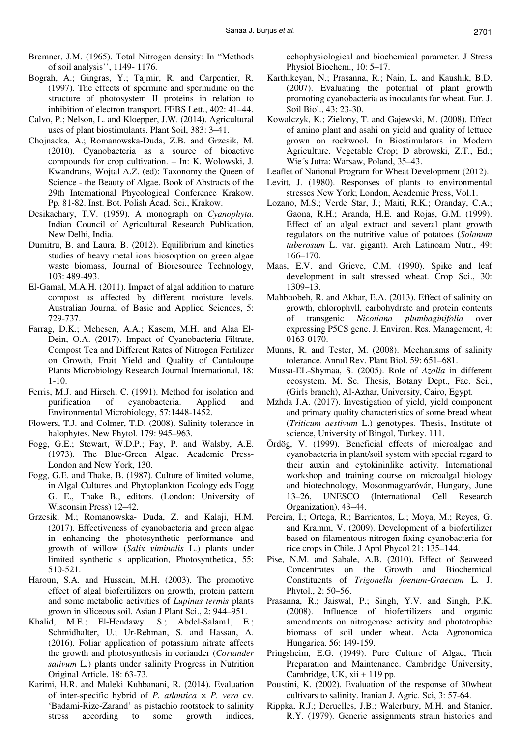- Bremner, J.M. (1965). Total Nitrogen density: In "Methods of soil analysis'', 1149- 1176.
- Bograh, A.; Gingras, Y.; Tajmir, R. and Carpentier, R. (1997). The effects of spermine and spermidine on the structure of photosystem II proteins in relation to inhibition of electron transport. FEBS Lett., 402: 41–44.
- Calvo, P.; Nelson, L. and Kloepper, J.W. (2014). Agricultural uses of plant biostimulants. Plant Soil, 383: 3–41.
- Chojnacka, A.; Romanowska-Duda, Z.B. and Grzesik, M. (2010). Cyanobacteria as a source of bioactive compounds for crop cultivation. – In: K. Wolowski, J. Kwandrans, Wojtal A.Z. (ed): Taxonomy the Queen of Science - the Beauty of Algae. Book of Abstracts of the 29th International Phycological Conference Krakow. Pp. 81-82. Inst. Bot. Polish Acad. Sci., Krakow.
- Desikachary, T.V. (1959). A monograph on *Cyanophyta*. Indian Council of Agricultural Research Publication, New Delhi, India*.*
- Dumitru, B. and Laura, B. (2012). Equilibrium and kinetics studies of heavy metal ions biosorption on green algae waste biomass, Journal of Bioresource Technology, 103: 489-493.
- El-Gamal, M.A.H. (2011). Impact of algal addition to mature compost as affected by different moisture levels. Australian Journal of Basic and Applied Sciences, 5: 729-737.
- Farrag, D.K.; Mehesen, A.A.; Kasem, M.H. and Alaa El-Dein, O.A. (2017). Impact of Cyanobacteria Filtrate, Compost Tea and Different Rates of Nitrogen Fertilizer on Growth, Fruit Yield and Quality of Cantaloupe Plants Microbiology Research Journal International, 18: 1-10.
- Ferris, M.J. and Hirsch, C. (1991). Method for isolation and purification of cyanobacteria. Applied and Environmental Microbiology, 57:1448-1452.
- Flowers, T.J. and Colmer, T.D. (2008). Salinity tolerance in halophytes. New Phytol. 179: 945–963.
- Fogg, G.E.; Stewart, W.D.P.; Fay, P. and Walsby, A.E. (1973). The Blue-Green Algae. Academic Press-London and New York, 130.
- Fogg, G.E. and Thake, B. (1987). Culture of limited volume, in Algal Cultures and Phytoplankton Ecology eds Fogg G. E., Thake B., editors. (London: University of Wisconsin Press) 12–42.
- Grzesik, M.; Romanowska- Duda, Z. and Kalaji, H.M. (2017). Effectiveness of cyanobacteria and green algae in enhancing the photosynthetic performance and growth of willow (*Salix viminalis* L.) plants under limited synthetic s application, Photosynthetica, 55: 510-521.
- Haroun, S.A. and Hussein, M.H. (2003). The promotive effect of algal biofertilizers on growth, protein pattern and some metabolic activities of *Lupinus termis* plants grown in siliceous soil. Asian J Plant Sci., 2: 944–951.
- Khalid, M.E.; El-Hendawy, S.; Abdel-Salam1, E.; Schmidhalter, U.; Ur-Rehman, S. and Hassan, A. (2016). Foliar application of potassium nitrate affects the growth and photosynthesis in coriander (*Coriander sativum* L*.*) plants under salinity Progress in Nutrition Original Article. 18: 63-73.
- Karimi, H.R. and Maleki Kuhbanani, R. (2014). Evaluation of inter-specific hybrid of *P. atlantica* × *P. vera* cv. 'Badami-Rize-Zarand' as pistachio rootstock to salinity stress according to some growth indices,

echophysiological and biochemical parameter. J Stress Physiol Biochem., 10: 5–17.

- Karthikeyan, N.; Prasanna, R.; Nain, L. and Kaushik, B.D. (2007). Evaluating the potential of plant growth promoting cyanobacteria as inoculants for wheat. Eur. J. Soil Biol., 43: 23-30.
- Kowalczyk, K.; Zielony, T. and Gajewski, M. (2008). Effect of amino plant and asahi on yield and quality of lettuce grown on rockwool. In Biostimulators in Modern Agriculture. Vegetable Crop; D abrowski, Z.T., Ed.; Wie´s Jutra: Warsaw, Poland, 35–43.
- Leaflet of National Program for Wheat Development (2012).
- Levitt, J. (1980). Responses of plants to environmental stresses New York; London, Academic Press, Vol.1.
- Lozano, M.S.; Verde Star, J.; Maiti, R.K.; Oranday, C.A.; Gaona, R.H.; Aranda, H.E. and Rojas, G.M. (1999). Effect of an algal extract and several plant growth regulators on the nutritive value of potatoes (*Solanum tuberosum* L. var. gigant). Arch Latinoam Nutr., 49: 166–170.
- Maas, E.V. and Grieve, C.M. (1990). Spike and leaf development in salt stressed wheat. Crop Sci., 30: 1309–13.
- Mahboobeh, R. and Akbar, E.A. (2013). Effect of salinity on growth, chlorophyll, carbohydrate and protein contents of transgenic *Nicotiana plumbaginifolia* over expressing P5CS gene. J. Environ. Res. Management, 4: 0163-0170.
- Munns, R. and Tester, M. (2008). Mechanisms of salinity tolerance. Annul Rev. Plant Biol. 59: 651–681.
- Mussa-EL-Shymaa, S. (2005). Role of *Azolla* in different ecosystem. M. Sc. Thesis, Botany Dept., Fac. Sci., (Girls branch), Al-Azhar, University, Cairo, Egypt.
- Mzhda J.A. (2017). Investigation of yield, yield component and primary quality characteristics of some bread wheat (*Triticum aestivum* L.) genotypes. Thesis, Institute of science, University of Bingol, Turkey. 111.
- Ördög, V. (1999). Beneficial effects of microalgae and cyanobacteria in plant/soil system with special regard to their auxin and cytokininlike activity. International workshop and training course on microalgal biology and biotechnology, Mosonmagyaróvár, Hungary, June 13–26, UNESCO (International Cell Research Organization), 43–44.
- Pereira, I.; Ortega, R.; Barrientos, L.; Moya, M.; Reyes, G. and Kramm, V. (2009). Development of a biofertilizer based on filamentous nitrogen-fixing cyanobacteria for rice crops in Chile. J Appl Phycol 21: 135–144.
- Pise, N.M. and Sabale, A.B. (2010). Effect of Seaweed Concentrates on the Growth and Biochemical Constituents of *Trigonella foenum-Graecum* L. J. Phytol., 2: 50–56.
- Prasanna, R.; Jaiswal, P.; Singh, Y.V. and Singh, P.K. (2008). Influence of biofertilizers and organic amendments on nitrogenase activity and phototrophic biomass of soil under wheat. Acta Agronomica Hungarica. 56: 149-159.
- Pringsheim, E.G. (1949). Pure Culture of Algae, Their Preparation and Maintenance. Cambridge University, Cambridge, UK, xii + 119 pp.
- Poustini, K. (2002). Evaluation of the response of 30wheat cultivars to salinity. Iranian J. Agric. Sci, 3: 57-64.
- Rippka, R.J.; Deruelles, J.B.; Walerbury, M.H. and Stanier, R.Y. (1979). Generic assignments strain histories and